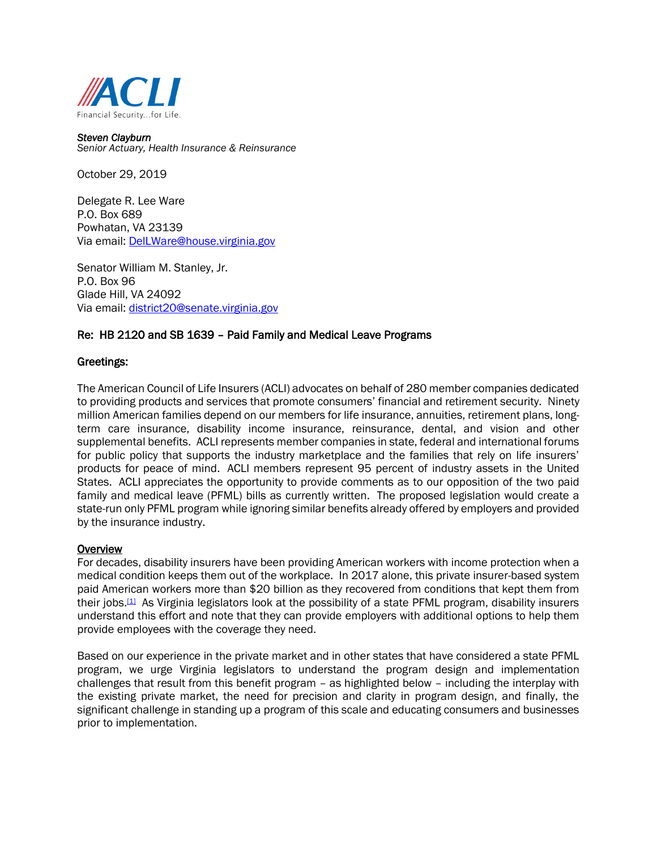

*Steven Clayburn Senior Actuary, Health Insurance & Reinsurance*

October 29, 2019

Delegate R. Lee Ware P.O. Box 689 Powhatan, VA 23139 Via email: [DelLWare@house.virginia.gov](mailto:DelLWare@house.virginia.gov)

Senator William M. Stanley, Jr. P.O. Box 96 Glade Hill, VA 24092 Via email: [district20@senate.virginia.gov](mailto:district20@senate.virginia.gov)

## Re: HB 2120 and SB 1639 – Paid Family and Medical Leave Programs

## Greetings:

The American Council of Life Insurers (ACLI) advocates on behalf of 280 member companies dedicated to providing products and services that promote consumers' financial and retirement security. Ninety million American families depend on our members for life insurance, annuities, retirement plans, longterm care insurance, disability income insurance, reinsurance, dental, and vision and other supplemental benefits. ACLI represents member companies in state, federal and international forums for public policy that supports the industry marketplace and the families that rely on life insurers' products for peace of mind. ACLI members represent 95 percent of industry assets in the United States. ACLI appreciates the opportunity to provide comments as to our opposition of the two paid family and medical leave (PFML) bills as currently written. The proposed legislation would create a state-run only PFML program while ignoring similar benefits already offered by employers and provided by the insurance industry.

## **Overview**

For decades, disability insurers have been providing American workers with income protection when a medical condition keeps them out of the workplace. In 2017 alone, this private insurer-based system paid American workers more than \$20 billion as they recovered from conditions that kept them from their jobs.<sup>[1]</sup> As Virginia legislators look at the possibility of a state PFML program, disability insurers understand this effort and note that they can provide employers with additional options to help them provide employees with the coverage they need.

Based on our experience in the private market and in other states that have considered a state PFML program, we urge Virginia legislators to understand the program design and implementation challenges that result from this benefit program – as highlighted below – including the interplay with the existing private market, the need for precision and clarity in program design, and finally, the significant challenge in standing up a program of this scale and educating consumers and businesses prior to implementation.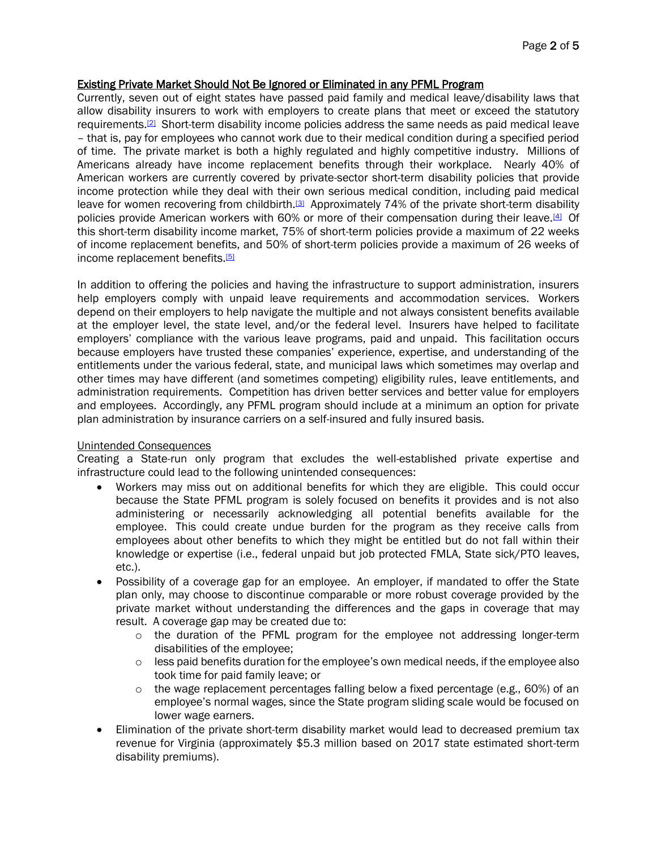# Existing Private Market Should Not Be Ignored or Eliminated in any PFML Program

Currently, seven out of eight states have passed paid family and medical leave/disability laws that allow disability insurers to work with employers to create plans that meet or exceed the statutory requirements.[2] Short-term disability income policies address the same needs as paid medical leave – that is, pay for employees who cannot work due to their medical condition during a specified period of time. The private market is both a highly regulated and highly competitive industry. Millions of Americans already have income replacement benefits through their workplace. Nearly 40% of American workers are currently covered by private-sector short-term disability policies that provide income protection while they deal with their own serious medical condition, including paid medical leave for women recovering from childbirth.<sup>[3]</sup> Approximately 74% of the private short-term disability policies provide American workers with 60% or more of their compensation during their leave.[4] Of this short-term disability income market, 75% of short-term policies provide a maximum of 22 weeks of income replacement benefits, and 50% of short-term policies provide a maximum of 26 weeks of income replacement benefits.<sup>[5]</sup>

In addition to offering the policies and having the infrastructure to support administration, insurers help employers comply with unpaid leave requirements and accommodation services. Workers depend on their employers to help navigate the multiple and not always consistent benefits available at the employer level, the state level, and/or the federal level. Insurers have helped to facilitate employers' compliance with the various leave programs, paid and unpaid. This facilitation occurs because employers have trusted these companies' experience, expertise, and understanding of the entitlements under the various federal, state, and municipal laws which sometimes may overlap and other times may have different (and sometimes competing) eligibility rules, leave entitlements, and administration requirements. Competition has driven better services and better value for employers and employees. Accordingly, any PFML program should include at a minimum an option for private plan administration by insurance carriers on a self-insured and fully insured basis.

## Unintended Consequences

Creating a State-run only program that excludes the well-established private expertise and infrastructure could lead to the following unintended consequences:

- Workers may miss out on additional benefits for which they are eligible. This could occur because the State PFML program is solely focused on benefits it provides and is not also administering or necessarily acknowledging all potential benefits available for the employee. This could create undue burden for the program as they receive calls from employees about other benefits to which they might be entitled but do not fall within their knowledge or expertise (i.e., federal unpaid but job protected FMLA, State sick/PTO leaves, etc.).
- Possibility of a coverage gap for an employee. An employer, if mandated to offer the State plan only, may choose to discontinue comparable or more robust coverage provided by the private market without understanding the differences and the gaps in coverage that may result. A coverage gap may be created due to:
	- $\circ$  the duration of the PFML program for the employee not addressing longer-term disabilities of the employee;
	- $\circ$  less paid benefits duration for the employee's own medical needs, if the employee also took time for paid family leave; or
	- $\circ$  the wage replacement percentages falling below a fixed percentage (e.g., 60%) of an employee's normal wages, since the State program sliding scale would be focused on lower wage earners.
- Elimination of the private short-term disability market would lead to decreased premium tax revenue for Virginia (approximately \$5.3 million based on 2017 state estimated short-term disability premiums).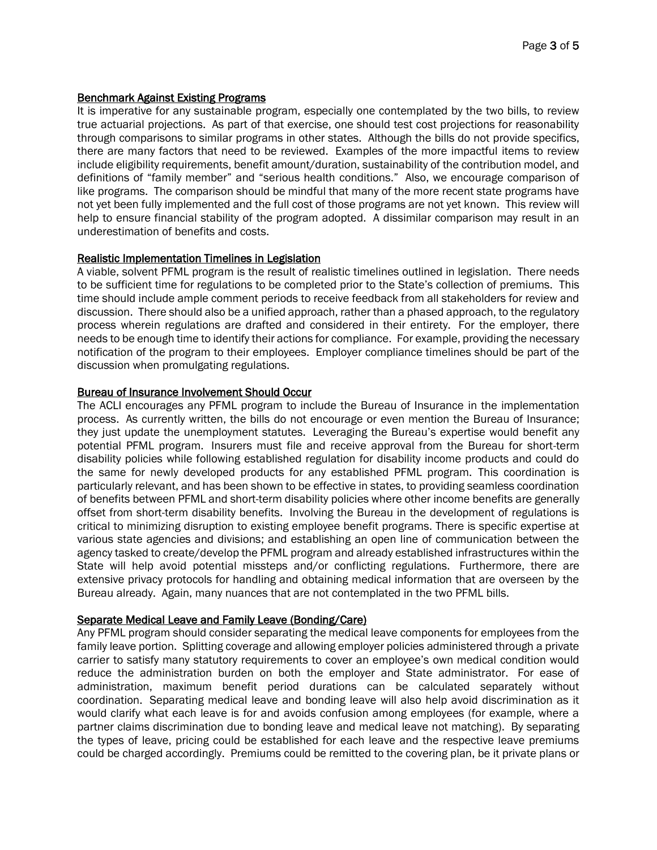## Benchmark Against Existing Programs

It is imperative for any sustainable program, especially one contemplated by the two bills, to review true actuarial projections. As part of that exercise, one should test cost projections for reasonability through comparisons to similar programs in other states. Although the bills do not provide specifics, there are many factors that need to be reviewed. Examples of the more impactful items to review include eligibility requirements, benefit amount/duration, sustainability of the contribution model, and definitions of "family member" and "serious health conditions." Also, we encourage comparison of like programs. The comparison should be mindful that many of the more recent state programs have not yet been fully implemented and the full cost of those programs are not yet known. This review will help to ensure financial stability of the program adopted. A dissimilar comparison may result in an underestimation of benefits and costs.

#### Realistic Implementation Timelines in Legislation

A viable, solvent PFML program is the result of realistic timelines outlined in legislation. There needs to be sufficient time for regulations to be completed prior to the State's collection of premiums. This time should include ample comment periods to receive feedback from all stakeholders for review and discussion. There should also be a unified approach, rather than a phased approach, to the regulatory process wherein regulations are drafted and considered in their entirety. For the employer, there needs to be enough time to identify their actions for compliance. For example, providing the necessary notification of the program to their employees. Employer compliance timelines should be part of the discussion when promulgating regulations.

## Bureau of Insurance Involvement Should Occur

The ACLI encourages any PFML program to include the Bureau of Insurance in the implementation process. As currently written, the bills do not encourage or even mention the Bureau of Insurance; they just update the unemployment statutes. Leveraging the Bureau's expertise would benefit any potential PFML program. Insurers must file and receive approval from the Bureau for short-term disability policies while following established regulation for disability income products and could do the same for newly developed products for any established PFML program. This coordination is particularly relevant, and has been shown to be effective in states, to providing seamless coordination of benefits between PFML and short-term disability policies where other income benefits are generally offset from short-term disability benefits. Involving the Bureau in the development of regulations is critical to minimizing disruption to existing employee benefit programs. There is specific expertise at various state agencies and divisions; and establishing an open line of communication between the agency tasked to create/develop the PFML program and already established infrastructures within the State will help avoid potential missteps and/or conflicting regulations. Furthermore, there are extensive privacy protocols for handling and obtaining medical information that are overseen by the Bureau already. Again, many nuances that are not contemplated in the two PFML bills.

## Separate Medical Leave and Family Leave (Bonding/Care)

Any PFML program should consider separating the medical leave components for employees from the family leave portion. Splitting coverage and allowing employer policies administered through a private carrier to satisfy many statutory requirements to cover an employee's own medical condition would reduce the administration burden on both the employer and State administrator. For ease of administration, maximum benefit period durations can be calculated separately without coordination. Separating medical leave and bonding leave will also help avoid discrimination as it would clarify what each leave is for and avoids confusion among employees (for example, where a partner claims discrimination due to bonding leave and medical leave not matching). By separating the types of leave, pricing could be established for each leave and the respective leave premiums could be charged accordingly. Premiums could be remitted to the covering plan, be it private plans or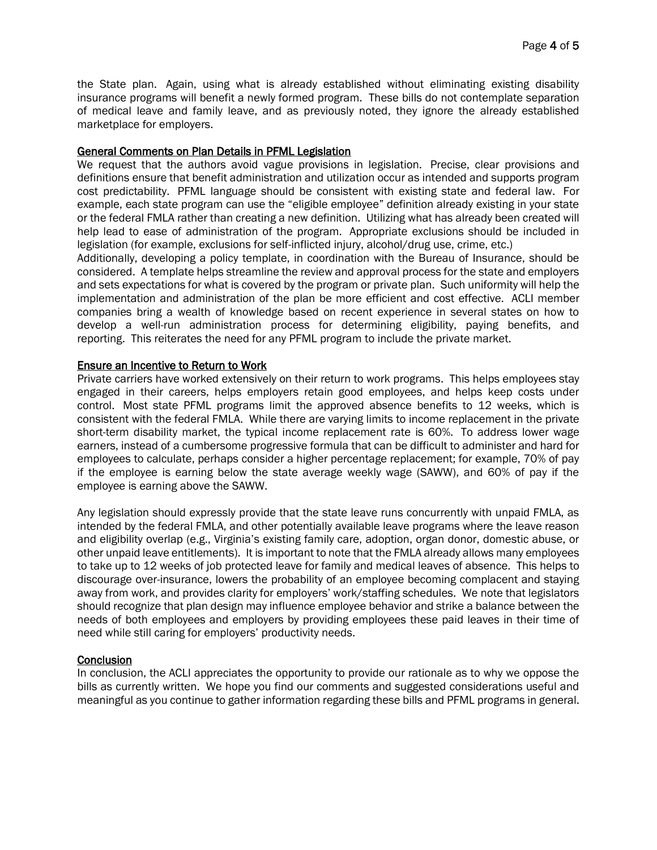the State plan. Again, using what is already established without eliminating existing disability insurance programs will benefit a newly formed program. These bills do not contemplate separation of medical leave and family leave, and as previously noted, they ignore the already established marketplace for employers.

### General Comments on Plan Details in PFML Legislation

We request that the authors avoid vague provisions in legislation. Precise, clear provisions and definitions ensure that benefit administration and utilization occur as intended and supports program cost predictability. PFML language should be consistent with existing state and federal law. For example, each state program can use the "eligible employee" definition already existing in your state or the federal FMLA rather than creating a new definition. Utilizing what has already been created will help lead to ease of administration of the program. Appropriate exclusions should be included in legislation (for example, exclusions for self-inflicted injury, alcohol/drug use, crime, etc.)

Additionally, developing a policy template, in coordination with the Bureau of Insurance, should be considered. A template helps streamline the review and approval process for the state and employers and sets expectations for what is covered by the program or private plan. Such uniformity will help the implementation and administration of the plan be more efficient and cost effective. ACLI member companies bring a wealth of knowledge based on recent experience in several states on how to develop a well-run administration process for determining eligibility, paying benefits, and reporting. This reiterates the need for any PFML program to include the private market.

#### Ensure an Incentive to Return to Work

Private carriers have worked extensively on their return to work programs. This helps employees stay engaged in their careers, helps employers retain good employees, and helps keep costs under control. Most state PFML programs limit the approved absence benefits to 12 weeks, which is consistent with the federal FMLA. While there are varying limits to income replacement in the private short-term disability market, the typical income replacement rate is 60%. To address lower wage earners, instead of a cumbersome progressive formula that can be difficult to administer and hard for employees to calculate, perhaps consider a higher percentage replacement; for example, 70% of pay if the employee is earning below the state average weekly wage (SAWW), and 60% of pay if the employee is earning above the SAWW.

Any legislation should expressly provide that the state leave runs concurrently with unpaid FMLA, as intended by the federal FMLA, and other potentially available leave programs where the leave reason and eligibility overlap (e.g., Virginia's existing family care, adoption, organ donor, domestic abuse, or other unpaid leave entitlements). It is important to note that the FMLA already allows many employees to take up to 12 weeks of job protected leave for family and medical leaves of absence. This helps to discourage over-insurance, lowers the probability of an employee becoming complacent and staying away from work, and provides clarity for employers' work/staffing schedules. We note that legislators should recognize that plan design may influence employee behavior and strike a balance between the needs of both employees and employers by providing employees these paid leaves in their time of need while still caring for employers' productivity needs.

## **Conclusion**

In conclusion, the ACLI appreciates the opportunity to provide our rationale as to why we oppose the bills as currently written. We hope you find our comments and suggested considerations useful and meaningful as you continue to gather information regarding these bills and PFML programs in general.